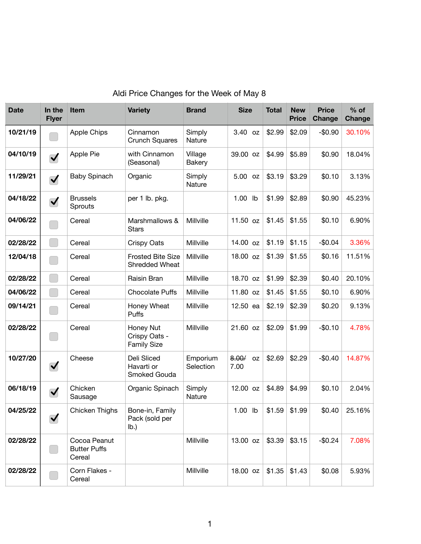| <b>Date</b> | In the<br><b>Flyer</b> | <b>Item</b>                                   | <b>Variety</b>                                   | <b>Brand</b>          | <b>Size</b>                | <b>Total</b> | <b>New</b><br><b>Price</b> | <b>Price</b><br><b>Change</b> | $%$ of<br>Change |
|-------------|------------------------|-----------------------------------------------|--------------------------------------------------|-----------------------|----------------------------|--------------|----------------------------|-------------------------------|------------------|
| 10/21/19    |                        | <b>Apple Chips</b>                            | Cinnamon<br><b>Crunch Squares</b>                | Simply<br>Nature      | 3.40 oz                    | \$2.99       | \$2.09                     | $-$0.90$                      | 30.10%           |
| 04/10/19    | $\blacktriangledown$   | Apple Pie                                     | with Cinnamon<br>(Seasonal)                      | Village<br>Bakery     | 39.00 oz                   | \$4.99       | \$5.89                     | \$0.90                        | 18.04%           |
| 11/29/21    | $\blacktriangledown$   | <b>Baby Spinach</b>                           | Organic                                          | Simply<br>Nature      | 5.00 oz                    | \$3.19       | \$3.29                     | \$0.10                        | 3.13%            |
| 04/18/22    | $\blacktriangledown$   | <b>Brussels</b><br>Sprouts                    | per 1 lb. pkg.                                   |                       | 1.00 lb                    | \$1.99       | \$2.89                     | \$0.90                        | 45.23%           |
| 04/06/22    |                        | Cereal                                        | Marshmallows &<br><b>Stars</b>                   | Millville             | 11.50 oz                   | \$1.45       | \$1.55                     | \$0.10                        | 6.90%            |
| 02/28/22    |                        | Cereal                                        | <b>Crispy Oats</b>                               | Millville             | 14.00 oz                   | \$1.19       | \$1.15                     | $-$0.04$                      | 3.36%            |
| 12/04/18    |                        | Cereal                                        | <b>Frosted Bite Size</b><br>Shredded Wheat       | Millville             | 18.00 oz                   | \$1.39       | \$1.55                     | \$0.16                        | 11.51%           |
| 02/28/22    |                        | Cereal                                        | Raisin Bran                                      | Millville             | 18.70 oz                   | \$1.99       | \$2.39                     | \$0.40                        | 20.10%           |
| 04/06/22    |                        | Cereal                                        | <b>Chocolate Puffs</b>                           | Millville             | 11.80 oz                   | \$1.45       | \$1.55                     | \$0.10                        | 6.90%            |
| 09/14/21    |                        | Cereal                                        | Honey Wheat<br>Puffs                             | Millville             | 12.50 ea                   | \$2.19       | \$2.39                     | \$0.20                        | 9.13%            |
| 02/28/22    |                        | Cereal                                        | Honey Nut<br>Crispy Oats -<br><b>Family Size</b> | Millville             | 21.60 oz                   | \$2.09       | \$1.99                     | $-$0.10$                      | 4.78%            |
| 10/27/20    | $\blacktriangledown$   | Cheese                                        | Deli Sliced<br>Havarti or<br>Smoked Gouda        | Emporium<br>Selection | 8.00/<br><b>OZ</b><br>7.00 | \$2.69       | \$2.29                     | $-$0.40$                      | 14.87%           |
| 06/18/19    | $\blacktriangledown$   | Chicken<br>Sausage                            | Organic Spinach                                  | Simply<br>Nature      | 12.00 oz                   | \$4.89       | \$4.99                     | \$0.10                        | 2.04%            |
| 04/25/22    | $\blacktriangledown$   | Chicken Thighs                                | Bone-in, Family<br>Pack (sold per<br>$Ib$ .)     |                       | 1.00 lb                    | \$1.59       | \$1.99                     | \$0.40                        | 25.16%           |
| 02/28/22    |                        | Cocoa Peanut<br><b>Butter Puffs</b><br>Cereal |                                                  | Millville             | 13.00 oz                   | \$3.39       | \$3.15                     | $-$0.24$                      | 7.08%            |
| 02/28/22    |                        | Corn Flakes -<br>Cereal                       |                                                  | Millville             | 18.00 oz                   | \$1.35       | \$1.43                     | \$0.08                        | 5.93%            |

## Aldi Price Changes for the Week of May 8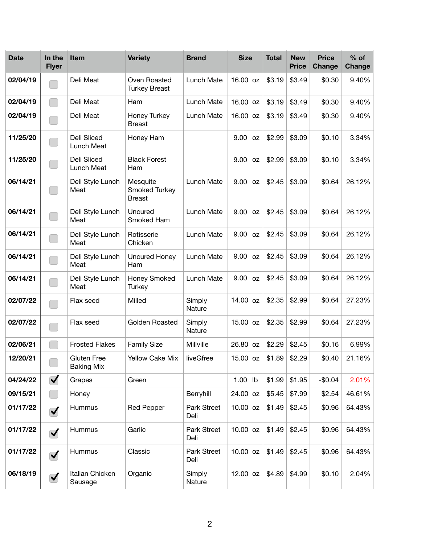| <b>Date</b> | In the<br><b>Flyer</b>      | <b>Item</b>                      | <b>Variety</b>                             | <b>Brand</b>        | <b>Size</b>  | <b>Total</b> | <b>New</b><br><b>Price</b> | <b>Price</b><br>Change | $%$ of<br>Change |
|-------------|-----------------------------|----------------------------------|--------------------------------------------|---------------------|--------------|--------------|----------------------------|------------------------|------------------|
| 02/04/19    |                             | Deli Meat                        | Oven Roasted<br><b>Turkey Breast</b>       | Lunch Mate          | 16.00 oz     | \$3.19       | \$3.49                     | \$0.30                 | 9.40%            |
| 02/04/19    |                             | Deli Meat                        | Ham                                        | Lunch Mate          | 16.00 oz     | \$3.19       | \$3.49                     | \$0.30                 | 9.40%            |
| 02/04/19    |                             | Deli Meat                        | Honey Turkey<br><b>Breast</b>              | Lunch Mate          | 16.00 oz     | \$3.19       | \$3.49                     | \$0.30                 | 9.40%            |
| 11/25/20    |                             | Deli Sliced<br>Lunch Meat        | Honey Ham                                  |                     | 9.00 oz      | \$2.99       | \$3.09                     | \$0.10                 | 3.34%            |
| 11/25/20    |                             | Deli Sliced<br>Lunch Meat        | <b>Black Forest</b><br>Ham                 |                     | 9.00 oz      | \$2.99       | \$3.09                     | \$0.10                 | 3.34%            |
| 06/14/21    |                             | Deli Style Lunch<br>Meat         | Mesquite<br>Smoked Turkey<br><b>Breast</b> | Lunch Mate          | 9.00 oz      | \$2.45       | \$3.09                     | \$0.64                 | 26.12%           |
| 06/14/21    |                             | Deli Style Lunch<br>Meat         | Uncured<br>Smoked Ham                      | Lunch Mate          | 9.00 oz      | \$2.45       | \$3.09                     | \$0.64                 | 26.12%           |
| 06/14/21    |                             | Deli Style Lunch<br>Meat         | Rotisserie<br>Chicken                      | Lunch Mate          | $9.00$ oz    | \$2.45       | \$3.09                     | \$0.64                 | 26.12%           |
| 06/14/21    |                             | Deli Style Lunch<br>Meat         | Uncured Honey<br>Ham                       | Lunch Mate          | $9.00$ oz    | \$2.45       | \$3.09                     | \$0.64                 | 26.12%           |
| 06/14/21    |                             | Deli Style Lunch<br>Meat         | Honey Smoked<br><b>Turkey</b>              | Lunch Mate          | $9.00$ oz    | \$2.45       | \$3.09                     | \$0.64                 | 26.12%           |
| 02/07/22    |                             | Flax seed                        | Milled                                     | Simply<br>Nature    | 14.00 oz     | \$2.35       | \$2.99                     | \$0.64                 | 27.23%           |
| 02/07/22    |                             | Flax seed                        | Golden Roasted                             | Simply<br>Nature    | 15.00 oz     | \$2.35       | \$2.99                     | \$0.64                 | 27.23%           |
| 02/06/21    |                             | <b>Frosted Flakes</b>            | <b>Family Size</b>                         | Millville           | 26.80 oz     | \$2.29       | \$2.45                     | \$0.16                 | 6.99%            |
| 12/20/21    |                             | Gluten Free<br><b>Baking Mix</b> | Yellow Cake Mix                            | liveGfree           | 15.00 oz $ $ | \$1.89       | \$2.29                     | \$0.40                 | 21.16%           |
| 04/24/22    | $\blacktriangledown$        | Grapes                           | Green                                      |                     | 1.00 lb      | \$1.99       | \$1.95                     | $-$0.04$               | 2.01%            |
| 09/15/21    | $\mathcal{L}^{\mathcal{L}}$ | Honey                            |                                            | Berryhill           | 24.00 oz     | \$5.45       | \$7.99                     | \$2.54                 | 46.61%           |
| 01/17/22    | $\blacktriangledown$        | Hummus                           | <b>Red Pepper</b>                          | Park Street<br>Deli | 10.00 oz     | \$1.49       | \$2.45                     | \$0.96                 | 64.43%           |
| 01/17/22    | $\blacktriangledown$        | Hummus                           | Garlic                                     | Park Street<br>Deli | 10.00 oz     | \$1.49       | \$2.45                     | \$0.96                 | 64.43%           |
| 01/17/22    | $\blacktriangledown$        | Hummus                           | Classic                                    | Park Street<br>Deli | 10.00 oz     | \$1.49       | \$2.45                     | \$0.96                 | 64.43%           |
| 06/18/19    | $\blacktriangledown$        | Italian Chicken<br>Sausage       | Organic                                    | Simply<br>Nature    | 12.00 oz     | \$4.89       | \$4.99                     | \$0.10                 | 2.04%            |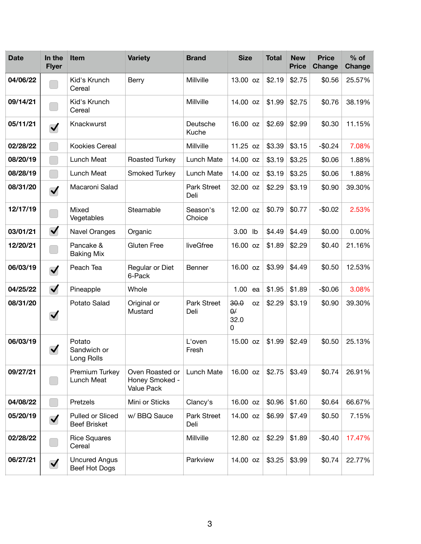| <b>Date</b> | In the<br><b>Flyer</b> | <b>Item</b>                             | <b>Variety</b>                                  | <b>Brand</b>        | <b>Size</b>                                | <b>Total</b> | <b>New</b><br><b>Price</b> | <b>Price</b><br>Change | $%$ of<br><b>Change</b> |
|-------------|------------------------|-----------------------------------------|-------------------------------------------------|---------------------|--------------------------------------------|--------------|----------------------------|------------------------|-------------------------|
| 04/06/22    |                        | Kid's Krunch<br>Cereal                  | Berry                                           | Millville           | 13.00 oz                                   | \$2.19       | \$2.75                     | \$0.56                 | 25.57%                  |
| 09/14/21    |                        | Kid's Krunch<br>Cereal                  |                                                 | Millville           | 14.00 oz                                   | \$1.99       | \$2.75                     | \$0.76                 | 38.19%                  |
| 05/11/21    | $\blacktriangledown$   | Knackwurst                              |                                                 | Deutsche<br>Kuche   | 16.00 oz                                   | \$2.69       | \$2.99                     | \$0.30                 | 11.15%                  |
| 02/28/22    |                        | Kookies Cereal                          |                                                 | Millville           | 11.25 oz                                   | \$3.39       | \$3.15                     | $-$0.24$               | 7.08%                   |
| 08/20/19    |                        | Lunch Meat                              | Roasted Turkey                                  | Lunch Mate          | 14.00 oz                                   | \$3.19       | \$3.25                     | \$0.06                 | 1.88%                   |
| 08/28/19    |                        | Lunch Meat                              | Smoked Turkey                                   | Lunch Mate          | 14.00 oz                                   | \$3.19       | \$3.25                     | \$0.06                 | 1.88%                   |
| 08/31/20    | $\blacktriangledown$   | Macaroni Salad                          |                                                 | Park Street<br>Deli | 32.00 oz                                   | \$2.29       | \$3.19                     | \$0.90                 | 39.30%                  |
| 12/17/19    |                        | Mixed<br>Vegetables                     | Steamable                                       | Season's<br>Choice  | 12.00 oz                                   | \$0.79       | \$0.77                     | $-$0.02$               | 2.53%                   |
| 03/01/21    | $\blacktriangledown$   | Navel Oranges                           | Organic                                         |                     | 3.00 lb                                    | \$4.49       | \$4.49                     | \$0.00                 | 0.00%                   |
| 12/20/21    |                        | Pancake &<br><b>Baking Mix</b>          | <b>Gluten Free</b>                              | liveGfree           | 16.00 oz                                   | \$1.89       | \$2.29                     | \$0.40                 | 21.16%                  |
| 06/03/19    | $\blacktriangledown$   | Peach Tea                               | Regular or Diet<br>6-Pack                       | Benner              | 16.00 oz                                   | \$3.99       | \$4.49                     | \$0.50                 | 12.53%                  |
| 04/25/22    | $\blacktriangledown$   | Pineapple                               | Whole                                           |                     | 1.00<br>ea                                 | \$1.95       | \$1.89                     | $-$0.06$               | 3.08%                   |
| 08/31/20    | $\blacktriangledown$   | Potato Salad                            | Original or<br>Mustard                          | Park Street<br>Deli | 30.0<br><b>OZ</b><br>$\theta$<br>32.0<br>0 | \$2.29       | \$3.19                     | \$0.90                 | 39.30%                  |
| 06/03/19    | $\blacktriangledown$   | Potato<br>Sandwich or<br>Long Rolls     |                                                 | L'oven<br>Fresh     | 15.00 oz                                   | \$1.99       | \$2.49                     | \$0.50                 | 25.13%                  |
| 09/27/21    |                        | Premium Turkey<br>Lunch Meat            | Oven Roasted or<br>Honey Smoked -<br>Value Pack | Lunch Mate          | 16.00 oz                                   | \$2.75       | \$3.49                     | \$0.74                 | 26.91%                  |
| 04/08/22    |                        | Pretzels                                | Mini or Sticks                                  | Clancy's            | 16.00 oz                                   | \$0.96       | \$1.60                     | \$0.64                 | 66.67%                  |
| 05/20/19    | $\blacktriangledown$   | Pulled or Sliced<br><b>Beef Brisket</b> | w/ BBQ Sauce                                    | Park Street<br>Deli | 14.00 oz                                   | \$6.99       | \$7.49                     | \$0.50                 | 7.15%                   |
| 02/28/22    |                        | <b>Rice Squares</b><br>Cereal           |                                                 | Millville           | 12.80 oz                                   | \$2.29       | \$1.89                     | $-$0.40$               | 17.47%                  |
| 06/27/21    | $\blacktriangledown$   | <b>Uncured Angus</b><br>Beef Hot Dogs   |                                                 | Parkview            | 14.00 oz                                   | \$3.25       | \$3.99                     | \$0.74                 | 22.77%                  |